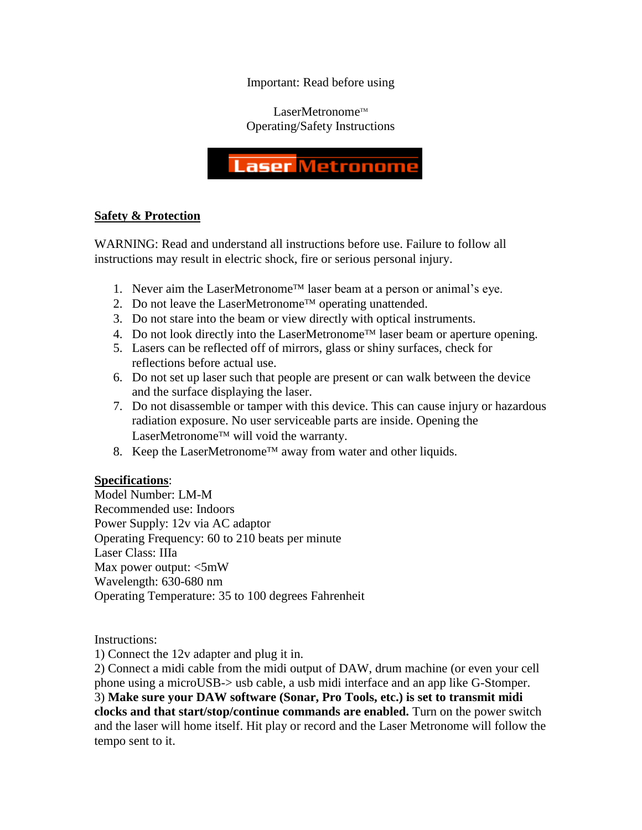Important: Read before using

 $L$ aserMetronome<sup>TM</sup> Operating/Safety Instructions

# **Laser Metronom**

## **Safety & Protection**

WARNING: Read and understand all instructions before use. Failure to follow all instructions may result in electric shock, fire or serious personal injury.

- 1. Never aim the LaserMetronome<sup>TM</sup> laser beam at a person or animal's eye.
- 2. Do not leave the LaserMetronome<sup>TM</sup> operating unattended.
- 3. Do not stare into the beam or view directly with optical instruments.
- 4. Do not look directly into the LaserMetronome<sup>TM</sup> laser beam or aperture opening.
- 5. Lasers can be reflected off of mirrors, glass or shiny surfaces, check for reflections before actual use.
- 6. Do not set up laser such that people are present or can walk between the device and the surface displaying the laser.
- 7. Do not disassemble or tamper with this device. This can cause injury or hazardous radiation exposure. No user serviceable parts are inside. Opening the LaserMetronome<sup>TM</sup> will void the warranty.
- 8. Keep the LaserMetronome<sup>TM</sup> away from water and other liquids.

# **Specifications**:

Model Number: LM-M Recommended use: Indoors Power Supply: 12v via AC adaptor Operating Frequency: 60 to 210 beats per minute Laser Class: IIIa Max power output: <5mW Wavelength: 630-680 nm Operating Temperature: 35 to 100 degrees Fahrenheit

Instructions:

1) Connect the 12v adapter and plug it in.

2) Connect a midi cable from the midi output of DAW, drum machine (or even your cell phone using a microUSB-> usb cable, a usb midi interface and an app like G-Stomper. 3) **Make sure your DAW software (Sonar, Pro Tools, etc.) is set to transmit midi clocks and that start/stop/continue commands are enabled.** Turn on the power switch and the laser will home itself. Hit play or record and the Laser Metronome will follow the tempo sent to it.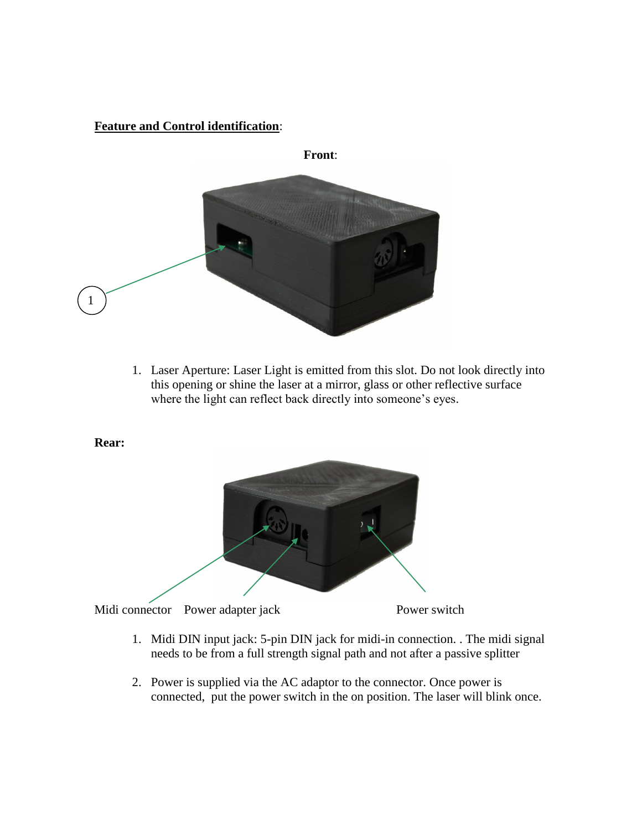# **Feature and Control identification**:



1. Laser Aperture: Laser Light is emitted from this slot. Do not look directly into this opening or shine the laser at a mirror, glass or other reflective surface where the light can reflect back directly into someone's eyes.



- 1. Midi DIN input jack: 5-pin DIN jack for midi-in connection. . The midi signal needs to be from a full strength signal path and not after a passive splitter
- 2. Power is supplied via the AC adaptor to the connector. Once power is connected, put the power switch in the on position. The laser will blink once.

#### **Rear:**